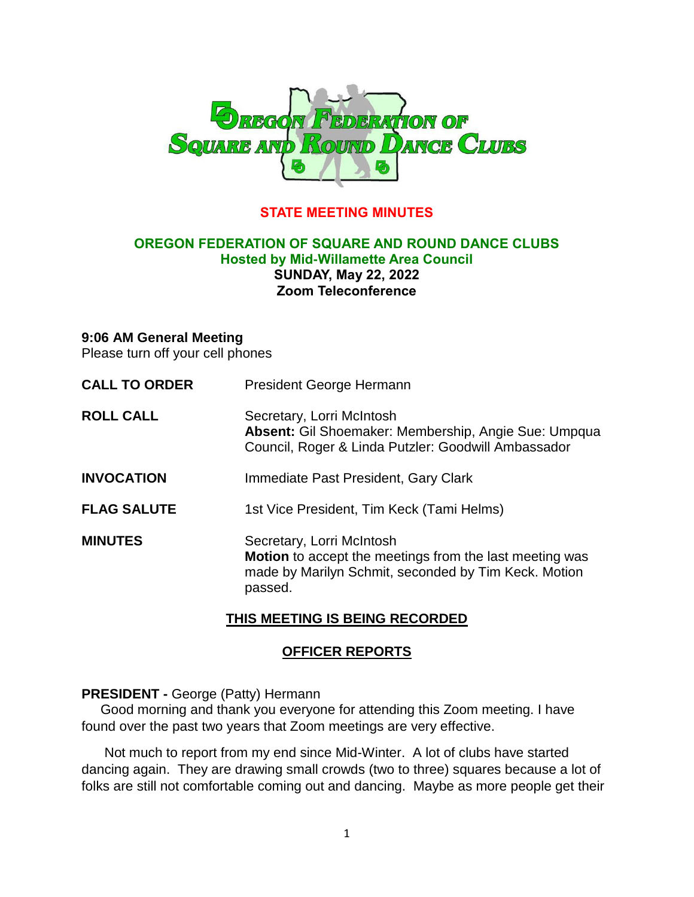

## **STATE MEETING MINUTES**

### **OREGON FEDERATION OF SQUARE AND ROUND DANCE CLUBS Hosted by Mid-Willamette Area Council SUNDAY, May 22, 2022 Zoom Teleconference**

#### **9:06 AM General Meeting**

Please turn off your cell phones

| <b>CALL TO ORDER</b> | President George Hermann                                                                                                                                       |
|----------------------|----------------------------------------------------------------------------------------------------------------------------------------------------------------|
| <b>ROLL CALL</b>     | Secretary, Lorri McIntosh<br>Absent: Gil Shoemaker: Membership, Angie Sue: Umpqua<br>Council, Roger & Linda Putzler: Goodwill Ambassador                       |
| <b>INVOCATION</b>    | Immediate Past President, Gary Clark                                                                                                                           |
| <b>FLAG SALUTE</b>   | 1st Vice President, Tim Keck (Tami Helms)                                                                                                                      |
| <b>MINUTES</b>       | Secretary, Lorri McIntosh<br><b>Motion</b> to accept the meetings from the last meeting was<br>made by Marilyn Schmit, seconded by Tim Keck. Motion<br>passed. |

## **THIS MEETING IS BEING RECORDED**

#### **OFFICER REPORTS**

#### **PRESIDENT -** George (Patty) Hermann

 Good morning and thank you everyone for attending this Zoom meeting. I have found over the past two years that Zoom meetings are very effective.

 Not much to report from my end since Mid-Winter. A lot of clubs have started dancing again. They are drawing small crowds (two to three) squares because a lot of folks are still not comfortable coming out and dancing. Maybe as more people get their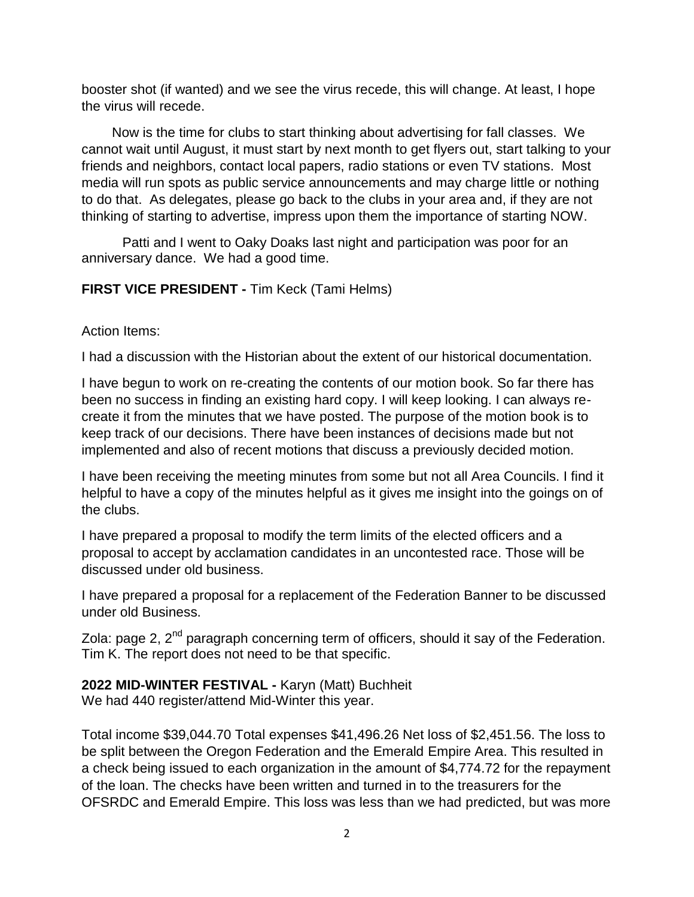booster shot (if wanted) and we see the virus recede, this will change. At least, I hope the virus will recede.

 Now is the time for clubs to start thinking about advertising for fall classes. We cannot wait until August, it must start by next month to get flyers out, start talking to your friends and neighbors, contact local papers, radio stations or even TV stations. Most media will run spots as public service announcements and may charge little or nothing to do that. As delegates, please go back to the clubs in your area and, if they are not thinking of starting to advertise, impress upon them the importance of starting NOW.

Patti and I went to Oaky Doaks last night and participation was poor for an anniversary dance. We had a good time.

**FIRST VICE PRESIDENT -** Tim Keck (Tami Helms)

Action Items:

I had a discussion with the Historian about the extent of our historical documentation.

I have begun to work on re-creating the contents of our motion book. So far there has been no success in finding an existing hard copy. I will keep looking. I can always recreate it from the minutes that we have posted. The purpose of the motion book is to keep track of our decisions. There have been instances of decisions made but not implemented and also of recent motions that discuss a previously decided motion.

I have been receiving the meeting minutes from some but not all Area Councils. I find it helpful to have a copy of the minutes helpful as it gives me insight into the goings on of the clubs.

I have prepared a proposal to modify the term limits of the elected officers and a proposal to accept by acclamation candidates in an uncontested race. Those will be discussed under old business.

I have prepared a proposal for a replacement of the Federation Banner to be discussed under old Business.

Zola: page 2, 2<sup>nd</sup> paragraph concerning term of officers, should it say of the Federation. Tim K. The report does not need to be that specific.

**2022 MID-WINTER FESTIVAL -** Karyn (Matt) Buchheit We had 440 register/attend Mid-Winter this year.

Total income \$39,044.70 Total expenses \$41,496.26 Net loss of \$2,451.56. The loss to be split between the Oregon Federation and the Emerald Empire Area. This resulted in a check being issued to each organization in the amount of \$4,774.72 for the repayment of the loan. The checks have been written and turned in to the treasurers for the OFSRDC and Emerald Empire. This loss was less than we had predicted, but was more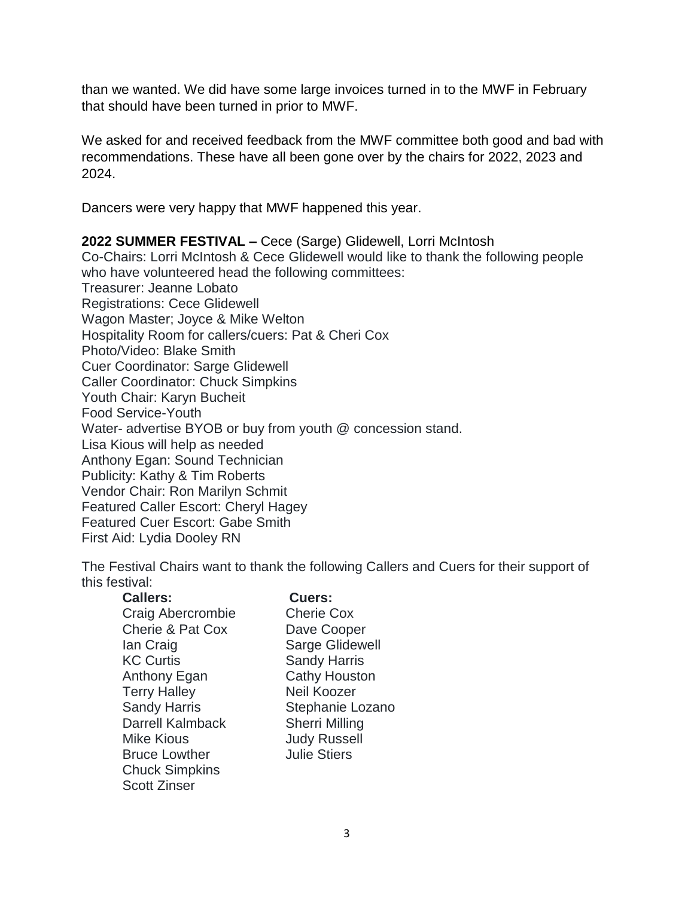than we wanted. We did have some large invoices turned in to the MWF in February that should have been turned in prior to MWF.

We asked for and received feedback from the MWF committee both good and bad with recommendations. These have all been gone over by the chairs for 2022, 2023 and 2024.

Dancers were very happy that MWF happened this year.

**2022 SUMMER FESTIVAL –** Cece (Sarge) Glidewell, Lorri McIntosh Co-Chairs: Lorri McIntosh & Cece Glidewell would like to thank the following people who have volunteered head the following committees: Treasurer: Jeanne Lobato Registrations: Cece Glidewell Wagon Master; Joyce & Mike Welton Hospitality Room for callers/cuers: Pat & Cheri Cox Photo/Video: Blake Smith Cuer Coordinator: Sarge Glidewell Caller Coordinator: Chuck Simpkins Youth Chair: Karyn Bucheit Food Service-Youth Water- advertise BYOB or buy from youth @ concession stand. Lisa Kious will help as needed Anthony Egan: Sound Technician Publicity: Kathy & Tim Roberts Vendor Chair: Ron Marilyn Schmit Featured Caller Escort: Cheryl Hagey Featured Cuer Escort: Gabe Smith First Aid: Lydia Dooley RN

The Festival Chairs want to thank the following Callers and Cuers for their support of this festival:

**Callers: Cuers:**

| <b>Callers:</b> |  |  |
|-----------------|--|--|
|                 |  |  |

Craig Abercrombie Cherie Cox Cherie & Pat Cox Dave Cooper Ian Craig **Sarge Glidewell** KC Curtis Sandy Harris Anthony Egan Cathy Houston Terry Halley Neil Koozer Sandy Harris Stephanie Lozano Darrell Kalmback Sherri Milling Mike Kious **Mike Kious** Judy Russell **Bruce Lowther Manuform Julie Stiers** Chuck Simpkins Scott Zinser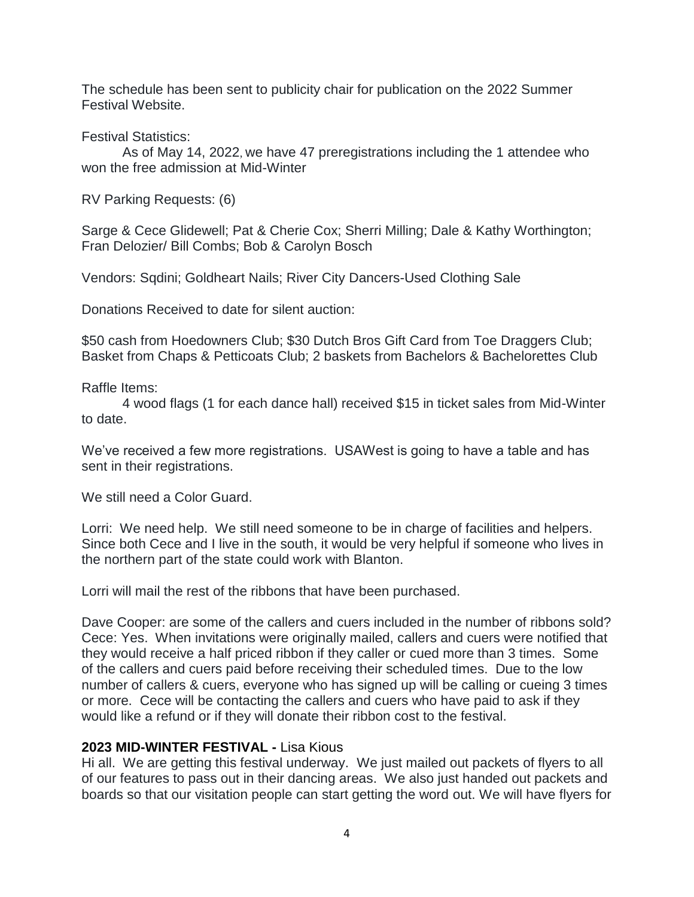The schedule has been sent to publicity chair for publication on the 2022 Summer Festival Website.

Festival Statistics:

As of May 14, 2022, we have 47 preregistrations including the 1 attendee who won the free admission at Mid-Winter

RV Parking Requests: (6)

Sarge & Cece Glidewell; Pat & Cherie Cox; Sherri Milling; Dale & Kathy Worthington; Fran Delozier/ Bill Combs; Bob & Carolyn Bosch

Vendors: Sqdini; Goldheart Nails; River City Dancers-Used Clothing Sale

Donations Received to date for silent auction:

\$50 cash from Hoedowners Club; \$30 Dutch Bros Gift Card from Toe Draggers Club; Basket from Chaps & Petticoats Club; 2 baskets from Bachelors & Bachelorettes Club

Raffle Items:

4 wood flags (1 for each dance hall) received \$15 in ticket sales from Mid-Winter to date.

We've received a few more registrations. USAWest is going to have a table and has sent in their registrations.

We still need a Color Guard.

Lorri: We need help. We still need someone to be in charge of facilities and helpers. Since both Cece and I live in the south, it would be very helpful if someone who lives in the northern part of the state could work with Blanton.

Lorri will mail the rest of the ribbons that have been purchased.

Dave Cooper: are some of the callers and cuers included in the number of ribbons sold? Cece: Yes. When invitations were originally mailed, callers and cuers were notified that they would receive a half priced ribbon if they caller or cued more than 3 times. Some of the callers and cuers paid before receiving their scheduled times. Due to the low number of callers & cuers, everyone who has signed up will be calling or cueing 3 times or more. Cece will be contacting the callers and cuers who have paid to ask if they would like a refund or if they will donate their ribbon cost to the festival.

## **2023 MID-WINTER FESTIVAL -** Lisa Kious

Hi all. We are getting this festival underway. We just mailed out packets of flyers to all of our features to pass out in their dancing areas. We also just handed out packets and boards so that our visitation people can start getting the word out. We will have flyers for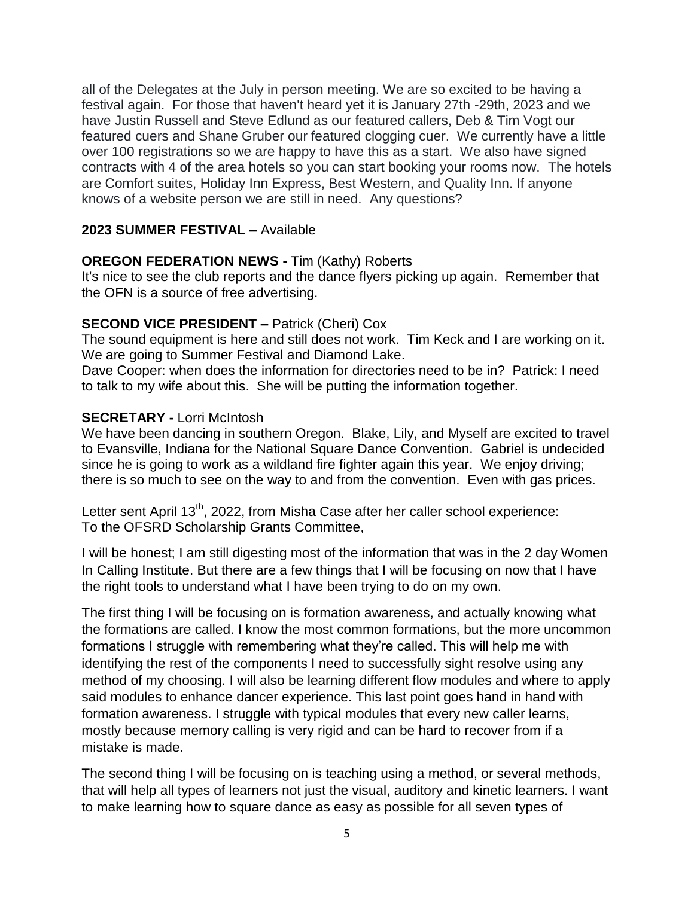all of the Delegates at the July in person meeting. We are so excited to be having a festival again. For those that haven't heard yet it is January 27th -29th, 2023 and we have Justin Russell and Steve Edlund as our featured callers, Deb & Tim Vogt our featured cuers and Shane Gruber our featured clogging cuer. We currently have a little over 100 registrations so we are happy to have this as a start. We also have signed contracts with 4 of the area hotels so you can start booking your rooms now. The hotels are Comfort suites, Holiday Inn Express, Best Western, and Quality Inn. If anyone knows of a website person we are still in need. Any questions?

## **2023 SUMMER FESTIVAL –** Available

## **OREGON FEDERATION NEWS -** Tim (Kathy) Roberts

It's nice to see the club reports and the dance flyers picking up again. Remember that the OFN is a source of free advertising.

## **SECOND VICE PRESIDENT –** Patrick (Cheri) Cox

The sound equipment is here and still does not work. Tim Keck and I are working on it. We are going to Summer Festival and Diamond Lake.

Dave Cooper: when does the information for directories need to be in? Patrick: I need to talk to my wife about this. She will be putting the information together.

## **SECRETARY -** Lorri McIntosh

We have been dancing in southern Oregon. Blake, Lily, and Myself are excited to travel to Evansville, Indiana for the National Square Dance Convention. Gabriel is undecided since he is going to work as a wildland fire fighter again this year. We enjoy driving; there is so much to see on the way to and from the convention. Even with gas prices.

Letter sent April 13<sup>th</sup>, 2022, from Misha Case after her caller school experience: To the OFSRD Scholarship Grants Committee,

I will be honest; I am still digesting most of the information that was in the 2 day Women In Calling Institute. But there are a few things that I will be focusing on now that I have the right tools to understand what I have been trying to do on my own.

The first thing I will be focusing on is formation awareness, and actually knowing what the formations are called. I know the most common formations, but the more uncommon formations I struggle with remembering what they're called. This will help me with identifying the rest of the components I need to successfully sight resolve using any method of my choosing. I will also be learning different flow modules and where to apply said modules to enhance dancer experience. This last point goes hand in hand with formation awareness. I struggle with typical modules that every new caller learns, mostly because memory calling is very rigid and can be hard to recover from if a mistake is made.

The second thing I will be focusing on is teaching using a method, or several methods, that will help all types of learners not just the visual, auditory and kinetic learners. I want to make learning how to square dance as easy as possible for all seven types of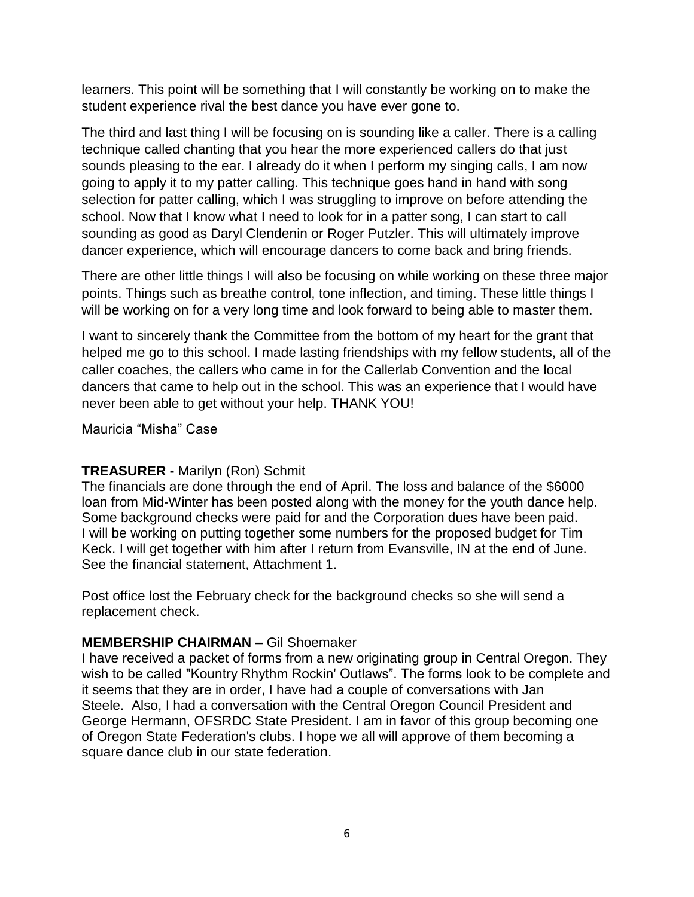learners. This point will be something that I will constantly be working on to make the student experience rival the best dance you have ever gone to.

The third and last thing I will be focusing on is sounding like a caller. There is a calling technique called chanting that you hear the more experienced callers do that just sounds pleasing to the ear. I already do it when I perform my singing calls, I am now going to apply it to my patter calling. This technique goes hand in hand with song selection for patter calling, which I was struggling to improve on before attending the school. Now that I know what I need to look for in a patter song, I can start to call sounding as good as Daryl Clendenin or Roger Putzler. This will ultimately improve dancer experience, which will encourage dancers to come back and bring friends.

There are other little things I will also be focusing on while working on these three major points. Things such as breathe control, tone inflection, and timing. These little things I will be working on for a very long time and look forward to being able to master them.

I want to sincerely thank the Committee from the bottom of my heart for the grant that helped me go to this school. I made lasting friendships with my fellow students, all of the caller coaches, the callers who came in for the Callerlab Convention and the local dancers that came to help out in the school. This was an experience that I would have never been able to get without your help. THANK YOU!

Mauricia "Misha" Case

# **TREASURER -** Marilyn (Ron) Schmit

The financials are done through the end of April. The loss and balance of the \$6000 loan from Mid-Winter has been posted along with the money for the youth dance help. Some background checks were paid for and the Corporation dues have been paid. I will be working on putting together some numbers for the proposed budget for Tim Keck. I will get together with him after I return from Evansville, IN at the end of June. See the financial statement, Attachment 1.

Post office lost the February check for the background checks so she will send a replacement check.

## **MEMBERSHIP CHAIRMAN –** Gil Shoemaker

I have received a packet of forms from a new originating group in Central Oregon. They wish to be called "Kountry Rhythm Rockin' Outlaws". The forms look to be complete and it seems that they are in order, I have had a couple of conversations with Jan Steele. Also, I had a conversation with the Central Oregon Council President and George Hermann, OFSRDC State President. I am in favor of this group becoming one of Oregon State Federation's clubs. I hope we all will approve of them becoming a square dance club in our state federation.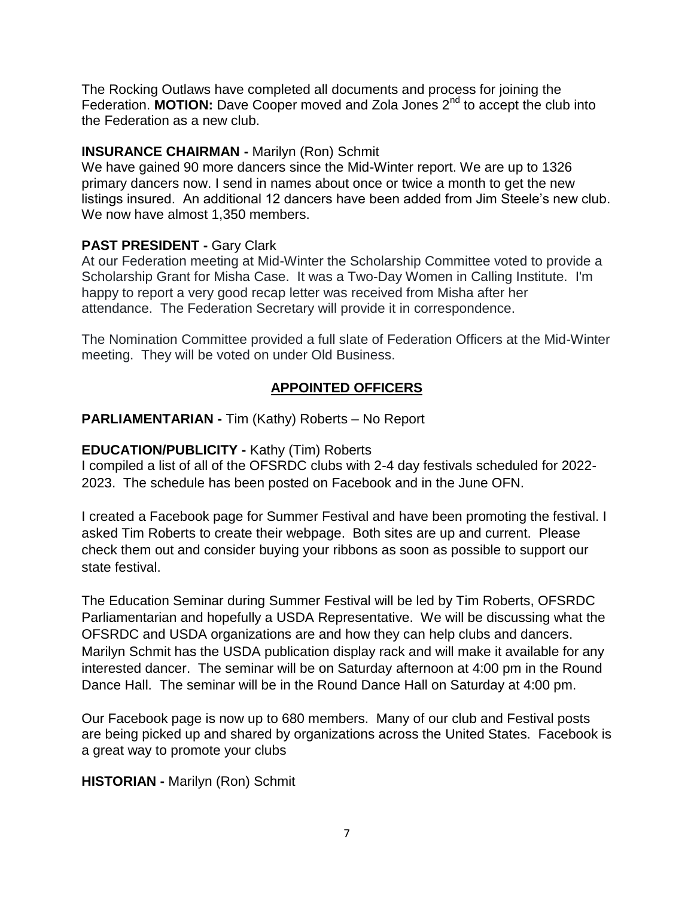The Rocking Outlaws have completed all documents and process for joining the Federation. **MOTION:** Dave Cooper moved and Zola Jones 2<sup>nd</sup> to accept the club into the Federation as a new club.

## **INSURANCE CHAIRMAN -** Marilyn (Ron) Schmit

We have gained 90 more dancers since the Mid-Winter report. We are up to 1326 primary dancers now. I send in names about once or twice a month to get the new listings insured. An additional 12 dancers have been added from Jim Steele's new club. We now have almost 1,350 members.

## **PAST PRESIDENT -** Gary Clark

At our Federation meeting at Mid-Winter the Scholarship Committee voted to provide a Scholarship Grant for Misha Case. It was a Two-Day Women in Calling Institute. I'm happy to report a very good recap letter was received from Misha after her attendance. The Federation Secretary will provide it in correspondence.

The Nomination Committee provided a full slate of Federation Officers at the Mid-Winter meeting. They will be voted on under Old Business.

# **APPOINTED OFFICERS**

## **PARLIAMENTARIAN -** Tim (Kathy) Roberts – No Report

## **EDUCATION/PUBLICITY -** Kathy (Tim) Roberts

I compiled a list of all of the OFSRDC clubs with 2-4 day festivals scheduled for 2022- 2023. The schedule has been posted on Facebook and in the June OFN.

I created a Facebook page for Summer Festival and have been promoting the festival. I asked Tim Roberts to create their webpage. Both sites are up and current. Please check them out and consider buying your ribbons as soon as possible to support our state festival.

The Education Seminar during Summer Festival will be led by Tim Roberts, OFSRDC Parliamentarian and hopefully a USDA Representative. We will be discussing what the OFSRDC and USDA organizations are and how they can help clubs and dancers. Marilyn Schmit has the USDA publication display rack and will make it available for any interested dancer. The seminar will be on Saturday afternoon at 4:00 pm in the Round Dance Hall. The seminar will be in the Round Dance Hall on Saturday at 4:00 pm.

Our Facebook page is now up to 680 members. Many of our club and Festival posts are being picked up and shared by organizations across the United States. Facebook is a great way to promote your clubs

## **HISTORIAN -** Marilyn (Ron) Schmit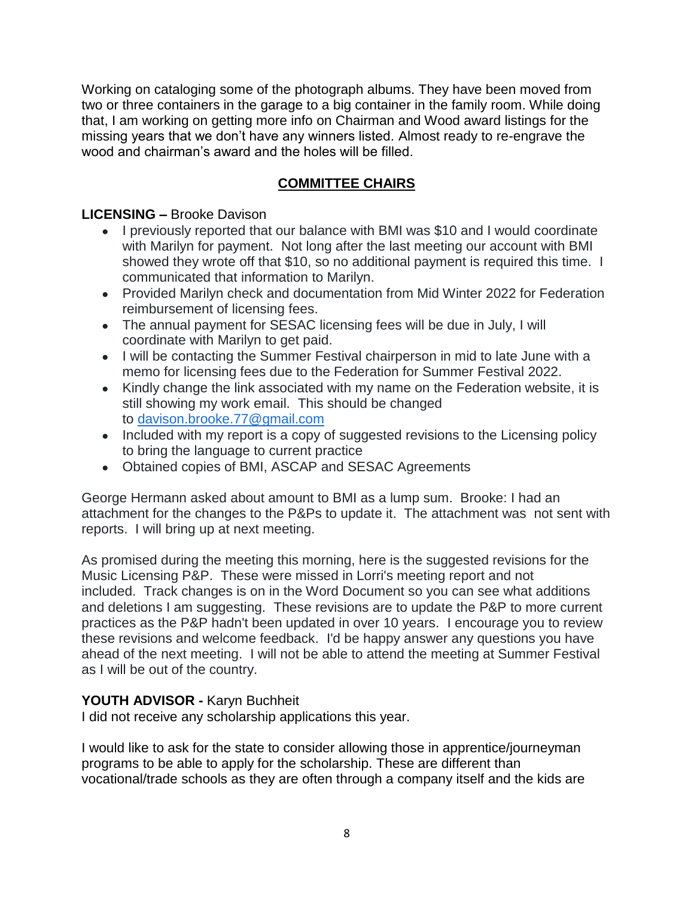Working on cataloging some of the photograph albums. They have been moved from two or three containers in the garage to a big container in the family room. While doing that, I am working on getting more info on Chairman and Wood award listings for the missing years that we don't have any winners listed. Almost ready to re-engrave the wood and chairman's award and the holes will be filled.

# **COMMITTEE CHAIRS**

# **LICENSING –** Brooke Davison

- I previously reported that our balance with BMI was \$10 and I would coordinate with Marilyn for payment. Not long after the last meeting our account with BMI showed they wrote off that \$10, so no additional payment is required this time. I communicated that information to Marilyn.
- Provided Marilyn check and documentation from Mid Winter 2022 for Federation reimbursement of licensing fees.
- The annual payment for SESAC licensing fees will be due in July, I will coordinate with Marilyn to get paid.
- I will be contacting the Summer Festival chairperson in mid to late June with a memo for licensing fees due to the Federation for Summer Festival 2022.
- Kindly change the link associated with my name on the Federation website, it is still showing my work email. This should be changed to [davison.brooke.77@gmail.com](mailto:davison.brooke.77@gmail.com)
- Included with my report is a copy of suggested revisions to the Licensing policy to bring the language to current practice
- Obtained copies of BMI, ASCAP and SESAC Agreements

George Hermann asked about amount to BMI as a lump sum. Brooke: I had an attachment for the changes to the P&Ps to update it. The attachment was not sent with reports. I will bring up at next meeting.

As promised during the meeting this morning, here is the suggested revisions for the Music Licensing P&P. These were missed in Lorri's meeting report and not included. Track changes is on in the Word Document so you can see what additions and deletions I am suggesting. These revisions are to update the P&P to more current practices as the P&P hadn't been updated in over 10 years. I encourage you to review these revisions and welcome feedback. I'd be happy answer any questions you have ahead of the next meeting. I will not be able to attend the meeting at Summer Festival as I will be out of the country.

# **YOUTH ADVISOR -** Karyn Buchheit

I did not receive any scholarship applications this year.

I would like to ask for the state to consider allowing those in apprentice/journeyman programs to be able to apply for the scholarship. These are different than vocational/trade schools as they are often through a company itself and the kids are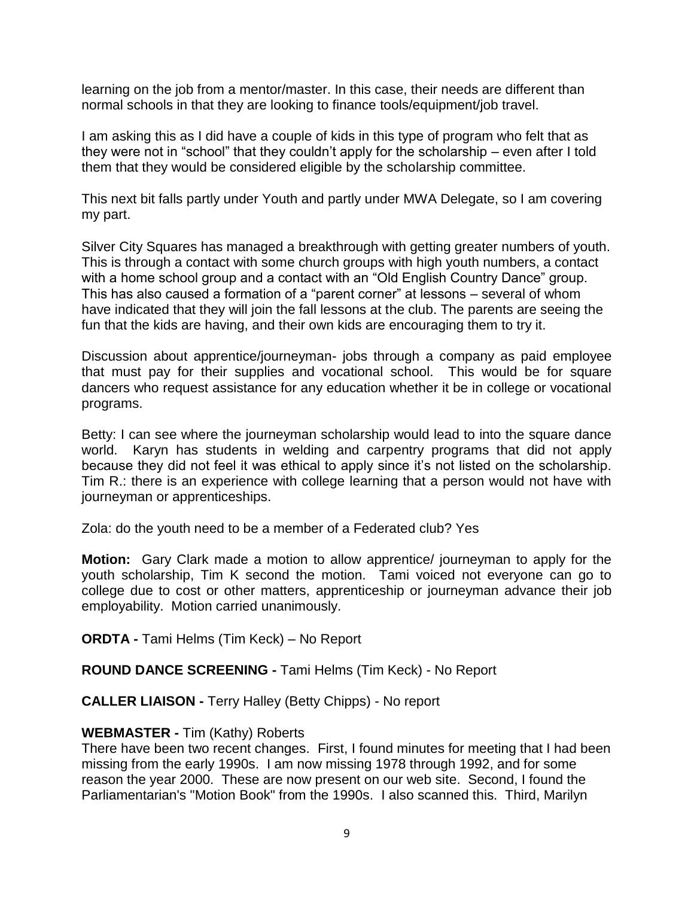learning on the job from a mentor/master. In this case, their needs are different than normal schools in that they are looking to finance tools/equipment/job travel.

I am asking this as I did have a couple of kids in this type of program who felt that as they were not in "school" that they couldn't apply for the scholarship – even after I told them that they would be considered eligible by the scholarship committee.

This next bit falls partly under Youth and partly under MWA Delegate, so I am covering my part.

Silver City Squares has managed a breakthrough with getting greater numbers of youth. This is through a contact with some church groups with high youth numbers, a contact with a home school group and a contact with an "Old English Country Dance" group. This has also caused a formation of a "parent corner" at lessons – several of whom have indicated that they will join the fall lessons at the club. The parents are seeing the fun that the kids are having, and their own kids are encouraging them to try it.

Discussion about apprentice/journeyman- jobs through a company as paid employee that must pay for their supplies and vocational school. This would be for square dancers who request assistance for any education whether it be in college or vocational programs.

Betty: I can see where the journeyman scholarship would lead to into the square dance world. Karyn has students in welding and carpentry programs that did not apply because they did not feel it was ethical to apply since it's not listed on the scholarship. Tim R.: there is an experience with college learning that a person would not have with journeyman or apprenticeships.

Zola: do the youth need to be a member of a Federated club? Yes

**Motion:** Gary Clark made a motion to allow apprentice/ journeyman to apply for the youth scholarship, Tim K second the motion. Tami voiced not everyone can go to college due to cost or other matters, apprenticeship or journeyman advance their job employability. Motion carried unanimously.

**ORDTA -** Tami Helms (Tim Keck) – No Report

**ROUND DANCE SCREENING -** Tami Helms (Tim Keck) - No Report

**CALLER LIAISON -** Terry Halley (Betty Chipps) - No report

## **WEBMASTER -** Tim (Kathy) Roberts

There have been two recent changes. First, I found minutes for meeting that I had been missing from the early 1990s. I am now missing 1978 through 1992, and for some reason the year 2000. These are now present on our web site. Second, I found the Parliamentarian's "Motion Book" from the 1990s. I also scanned this. Third, Marilyn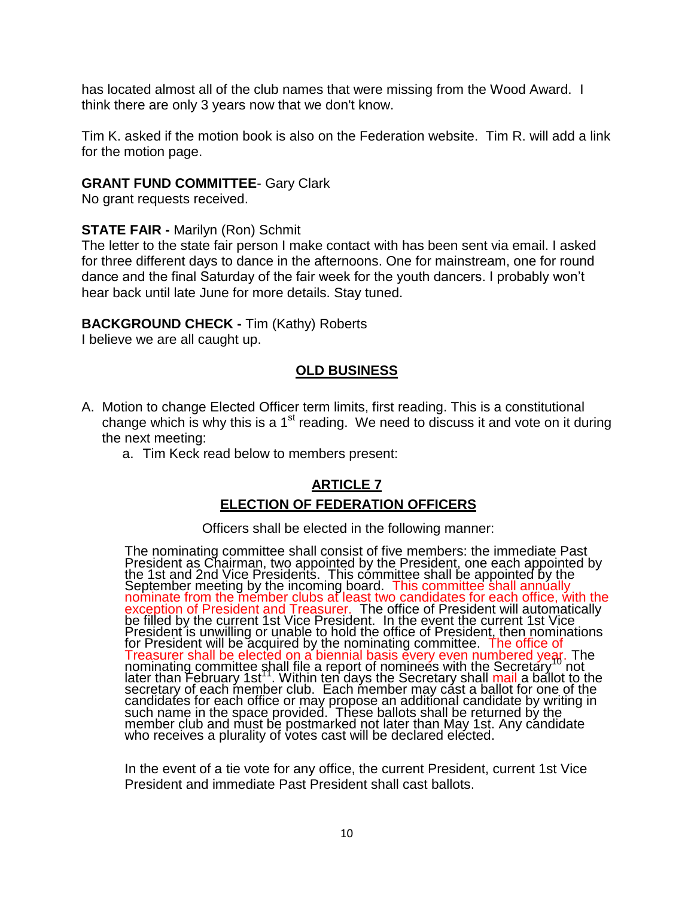has located almost all of the club names that were missing from the Wood Award. I think there are only 3 years now that we don't know.

Tim K. asked if the motion book is also on the Federation website. Tim R. will add a link for the motion page.

### **GRANT FUND COMMITTEE**- Gary Clark

No grant requests received.

#### **STATE FAIR -** Marilyn (Ron) Schmit

The letter to the state fair person I make contact with has been sent via email. I asked for three different days to dance in the afternoons. One for mainstream, one for round dance and the final Saturday of the fair week for the youth dancers. I probably won't hear back until late June for more details. Stay tuned.

### **BACKGROUND CHECK -** Tim (Kathy) Roberts

I believe we are all caught up.

## **OLD BUSINESS**

- A. Motion to change Elected Officer term limits, first reading. This is a constitutional change which is why this is a  $1<sup>st</sup>$  reading. We need to discuss it and vote on it during the next meeting:
	- a. Tim Keck read below to members present:

# **ARTICLE 7 ELECTION OF FEDERATION OFFICERS**

#### Officers shall be elected in the following manner:

The nominating committee shall consist of five members: the immediate Past President as Chairman, two appointed by the President, one each appointed by the 1st and 2nd Vice Presidents. This committee shall be appointed by the September meeting by the incoming board. This committee shall annually nominate from the member clubs at least two candidates for each office, with the exception of President and Treasurer. The office of President will automatically be filled by the current 1st Vice President. In the event the current 1st Vice President is unwilling or unable to hold the office of President, then nominations for President will be acquired by the nominating committee. The office of Treasurer shall be elected on a biennial basis every even numbered year. The<br>nominating committee shall file a report of nominees with the Secretary not later than February 1st<sup>11</sup>. Within ten days the Secretary shall mail a ballot to the secretary of each member club. Each member may cast a ballot for one of the candidates for each office or may propose an additional candidate by writing in such name in the space provided. These ballots shall be returned by the member club and must be postmarked not later than May 1st. Any candidate who receives a plurality of votes cast will be declared elected.

In the event of a tie vote for any office, the current President, current 1st Vice President and immediate Past President shall cast ballots.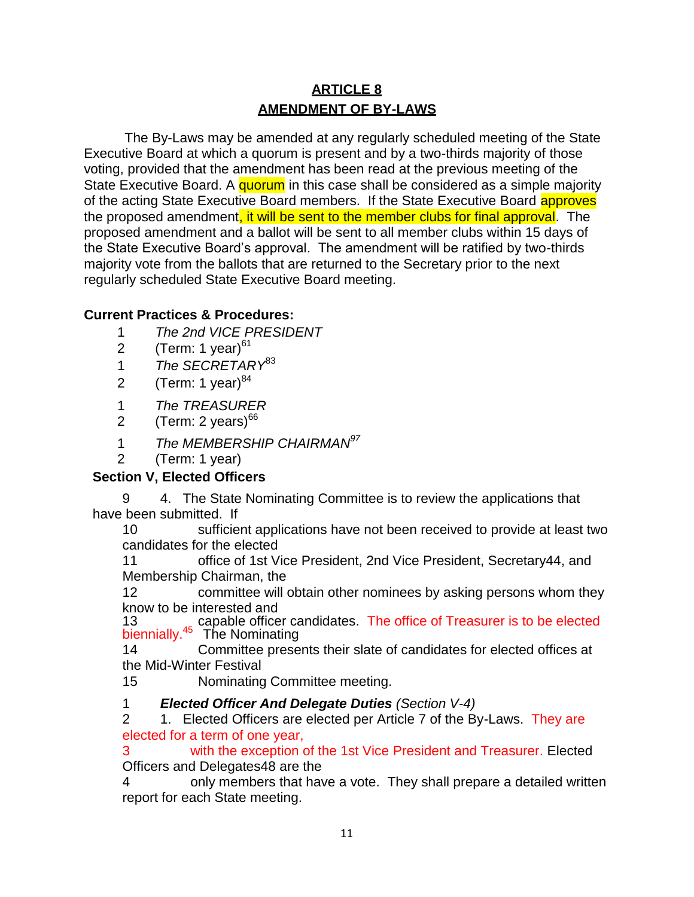# **ARTICLE 8 AMENDMENT OF BY-LAWS**

The By-Laws may be amended at any regularly scheduled meeting of the State Executive Board at which a quorum is present and by a two-thirds majority of those voting, provided that the amendment has been read at the previous meeting of the State Executive Board. A quorum in this case shall be considered as a simple majority of the acting State Executive Board members. If the State Executive Board **approves** the proposed amendment, it will be sent to the member clubs for final approval. The proposed amendment and a ballot will be sent to all member clubs within 15 days of the State Executive Board's approval. The amendment will be ratified by two-thirds majority vote from the ballots that are returned to the Secretary prior to the next regularly scheduled State Executive Board meeting.

# **Current Practices & Procedures:**

- 1 *The 2nd VICE PRESIDENT*
- 2 (Term: 1 year) $61$
- 1 *The SECRETARY*<sup>83</sup>
- 2 (Term: 1 year) $^{84}$
- 1 *The TREASURER*
- 2 (Term: 2 years) $^{66}$
- 1 *The MEMBERSHIP CHAIRMAN<sup>97</sup>*
- 2 (Term: 1 year)

# **Section V, Elected Officers**

9 4. The State Nominating Committee is to review the applications that have been submitted. If

10 sufficient applications have not been received to provide at least two candidates for the elected

11 office of 1st Vice President, 2nd Vice President, Secretary44, and Membership Chairman, the

12 committee will obtain other nominees by asking persons whom they know to be interested and

13 **13** capable officer candidates. The office of Treasurer is to be elected biennially.<sup>45</sup> The Nominating

14 Committee presents their slate of candidates for elected offices at the Mid-Winter Festival

15 Nominating Committee meeting.

# 1 *Elected Officer And Delegate Duties (Section V-4)*

2 1. Elected Officers are elected per Article 7 of the By-Laws. They are elected for a term of one year,

3 with the exception of the 1st Vice President and Treasurer. Elected Officers and Delegates48 are the

4 only members that have a vote. They shall prepare a detailed written report for each State meeting.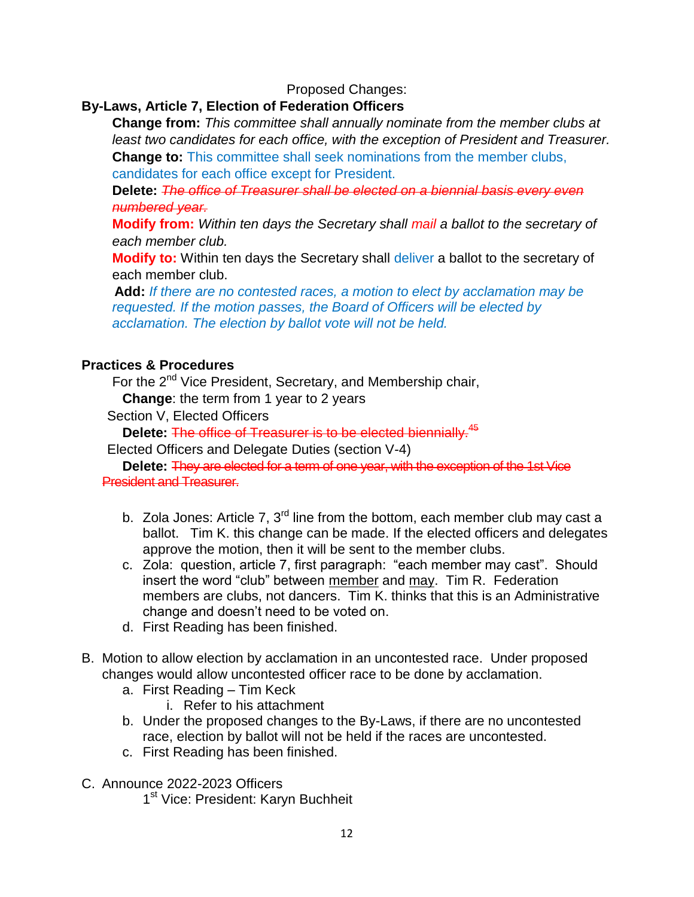## Proposed Changes:

## **By-Laws, Article 7, Election of Federation Officers**

**Change from:** *This committee shall annually nominate from the member clubs at least two candidates for each office, with the exception of President and Treasurer.* **Change to:** This committee shall seek nominations from the member clubs, candidates for each office except for President.

**Delete:** *The office of Treasurer shall be elected on a biennial basis every even numbered year.*

**Modify from:** *Within ten days the Secretary shall mail a ballot to the secretary of each member club.*

**Modify to:** Within ten days the Secretary shall deliver a ballot to the secretary of each member club.

**Add:** *If there are no contested races, a motion to elect by acclamation may be requested. If the motion passes, the Board of Officers will be elected by acclamation. The election by ballot vote will not be held.*

## **Practices & Procedures**

For the 2<sup>nd</sup> Vice President, Secretary, and Membership chair,

**Change**: the term from 1 year to 2 years

Section V, Elected Officers

**Delete:** The office of Treasurer is to be elected biennially.<sup>45</sup>

Elected Officers and Delegate Duties (section V-4)

**Delete:** They are elected for a term of one year, with the exception of the 1st Vice President and Treasurer.

- b. Zola Jones: Article 7,  $3<sup>rd</sup>$  line from the bottom, each member club may cast a ballot. Tim K. this change can be made. If the elected officers and delegates approve the motion, then it will be sent to the member clubs.
- c. Zola: question, article 7, first paragraph: "each member may cast". Should insert the word "club" between member and may. Tim R. Federation members are clubs, not dancers. Tim K. thinks that this is an Administrative change and doesn't need to be voted on.
- d. First Reading has been finished.
- B. Motion to allow election by acclamation in an uncontested race. Under proposed changes would allow uncontested officer race to be done by acclamation.
	- a. First Reading Tim Keck
		- i. Refer to his attachment
	- b. Under the proposed changes to the By-Laws, if there are no uncontested race, election by ballot will not be held if the races are uncontested.
	- c. First Reading has been finished.
- C. Announce 2022-2023 Officers
	- 1<sup>st</sup> Vice: President: Karyn Buchheit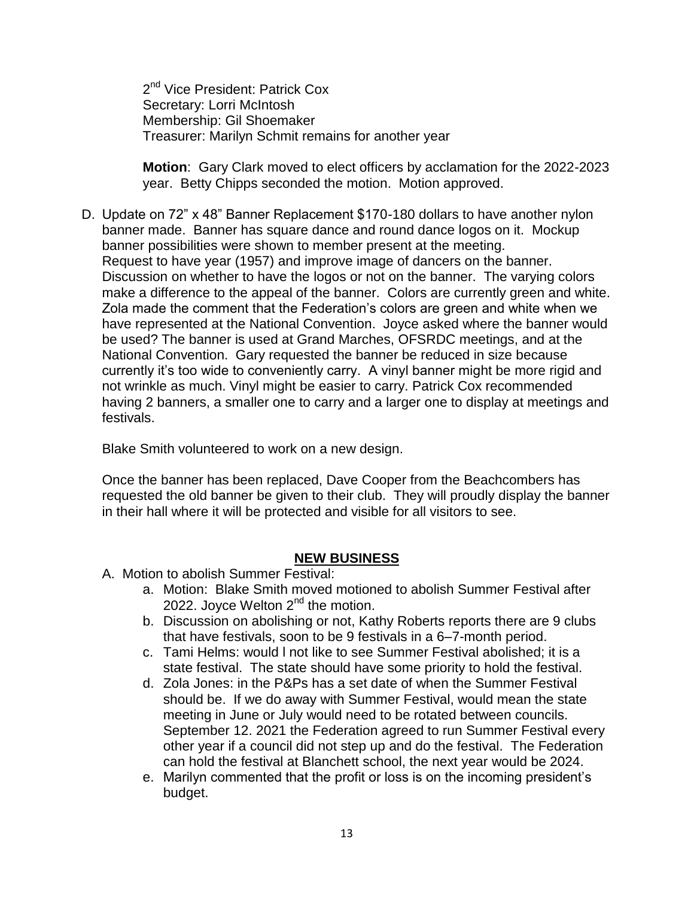2<sup>nd</sup> Vice President: Patrick Cox Secretary: Lorri McIntosh Membership: Gil Shoemaker Treasurer: Marilyn Schmit remains for another year

**Motion**: Gary Clark moved to elect officers by acclamation for the 2022-2023 year. Betty Chipps seconded the motion. Motion approved.

D. Update on 72" x 48" Banner Replacement \$170-180 dollars to have another nylon banner made. Banner has square dance and round dance logos on it. Mockup banner possibilities were shown to member present at the meeting. Request to have year (1957) and improve image of dancers on the banner. Discussion on whether to have the logos or not on the banner. The varying colors make a difference to the appeal of the banner. Colors are currently green and white. Zola made the comment that the Federation's colors are green and white when we have represented at the National Convention. Joyce asked where the banner would be used? The banner is used at Grand Marches, OFSRDC meetings, and at the National Convention. Gary requested the banner be reduced in size because currently it's too wide to conveniently carry. A vinyl banner might be more rigid and not wrinkle as much. Vinyl might be easier to carry. Patrick Cox recommended having 2 banners, a smaller one to carry and a larger one to display at meetings and festivals.

Blake Smith volunteered to work on a new design.

Once the banner has been replaced, Dave Cooper from the Beachcombers has requested the old banner be given to their club. They will proudly display the banner in their hall where it will be protected and visible for all visitors to see.

## **NEW BUSINESS**

- A. Motion to abolish Summer Festival:
	- a. Motion: Blake Smith moved motioned to abolish Summer Festival after 2022. Joyce Welton 2<sup>nd</sup> the motion.
	- b. Discussion on abolishing or not, Kathy Roberts reports there are 9 clubs that have festivals, soon to be 9 festivals in a 6–7-month period.
	- c. Tami Helms: would l not like to see Summer Festival abolished; it is a state festival. The state should have some priority to hold the festival.
	- d. Zola Jones: in the P&Ps has a set date of when the Summer Festival should be. If we do away with Summer Festival, would mean the state meeting in June or July would need to be rotated between councils. September 12. 2021 the Federation agreed to run Summer Festival every other year if a council did not step up and do the festival. The Federation can hold the festival at Blanchett school, the next year would be 2024.
	- e. Marilyn commented that the profit or loss is on the incoming president's budget.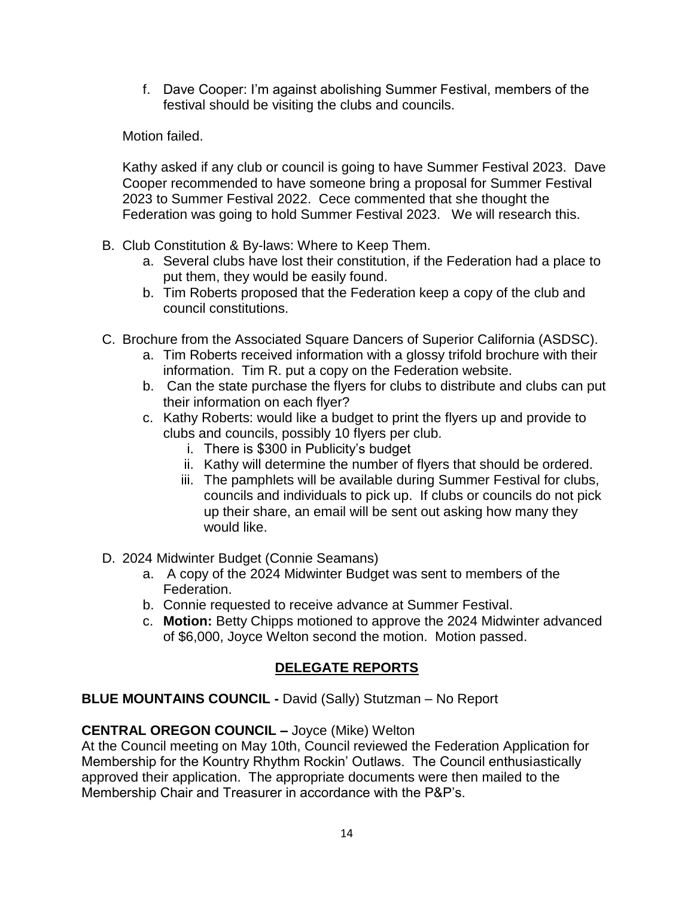f. Dave Cooper: I'm against abolishing Summer Festival, members of the festival should be visiting the clubs and councils.

Motion failed.

Kathy asked if any club or council is going to have Summer Festival 2023. Dave Cooper recommended to have someone bring a proposal for Summer Festival 2023 to Summer Festival 2022. Cece commented that she thought the Federation was going to hold Summer Festival 2023. We will research this.

- B. Club Constitution & By-laws: Where to Keep Them.
	- a. Several clubs have lost their constitution, if the Federation had a place to put them, they would be easily found.
	- b. Tim Roberts proposed that the Federation keep a copy of the club and council constitutions.
- C. Brochure from the Associated Square Dancers of Superior California (ASDSC).
	- a. Tim Roberts received information with a glossy trifold brochure with their information. Tim R. put a copy on the Federation website.
	- b. Can the state purchase the flyers for clubs to distribute and clubs can put their information on each flyer?
	- c. Kathy Roberts: would like a budget to print the flyers up and provide to clubs and councils, possibly 10 flyers per club.
		- i. There is \$300 in Publicity's budget
		- ii. Kathy will determine the number of flyers that should be ordered.
		- iii. The pamphlets will be available during Summer Festival for clubs, councils and individuals to pick up. If clubs or councils do not pick up their share, an email will be sent out asking how many they would like.
- D. 2024 Midwinter Budget (Connie Seamans)
	- a. A copy of the 2024 Midwinter Budget was sent to members of the Federation.
	- b. Connie requested to receive advance at Summer Festival.
	- c. **Motion:** Betty Chipps motioned to approve the 2024 Midwinter advanced of \$6,000, Joyce Welton second the motion. Motion passed.

# **DELEGATE REPORTS**

**BLUE MOUNTAINS COUNCIL -** David (Sally) Stutzman – No Report

# **CENTRAL OREGON COUNCIL –** Joyce (Mike) Welton

At the Council meeting on May 10th, Council reviewed the Federation Application for Membership for the Kountry Rhythm Rockin' Outlaws. The Council enthusiastically approved their application. The appropriate documents were then mailed to the Membership Chair and Treasurer in accordance with the P&P's.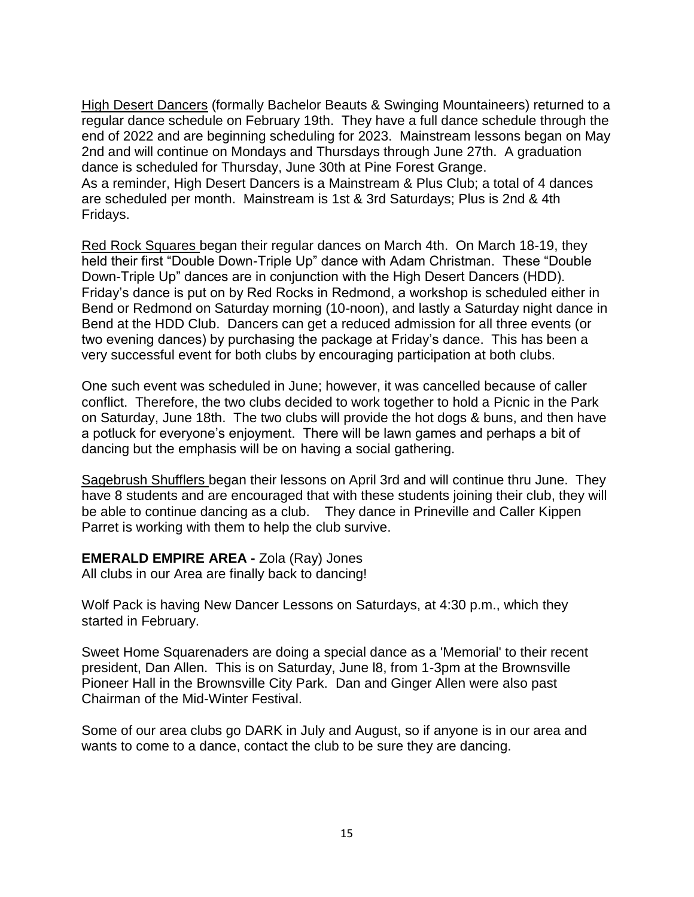High Desert Dancers (formally Bachelor Beauts & Swinging Mountaineers) returned to a regular dance schedule on February 19th. They have a full dance schedule through the end of 2022 and are beginning scheduling for 2023. Mainstream lessons began on May 2nd and will continue on Mondays and Thursdays through June 27th. A graduation dance is scheduled for Thursday, June 30th at Pine Forest Grange. As a reminder, High Desert Dancers is a Mainstream & Plus Club; a total of 4 dances are scheduled per month. Mainstream is 1st & 3rd Saturdays; Plus is 2nd & 4th Fridays.

Red Rock Squares began their regular dances on March 4th. On March 18-19, they held their first "Double Down-Triple Up" dance with Adam Christman. These "Double Down-Triple Up" dances are in conjunction with the High Desert Dancers (HDD). Friday's dance is put on by Red Rocks in Redmond, a workshop is scheduled either in Bend or Redmond on Saturday morning (10-noon), and lastly a Saturday night dance in Bend at the HDD Club. Dancers can get a reduced admission for all three events (or two evening dances) by purchasing the package at Friday's dance. This has been a very successful event for both clubs by encouraging participation at both clubs.

One such event was scheduled in June; however, it was cancelled because of caller conflict. Therefore, the two clubs decided to work together to hold a Picnic in the Park on Saturday, June 18th. The two clubs will provide the hot dogs & buns, and then have a potluck for everyone's enjoyment. There will be lawn games and perhaps a bit of dancing but the emphasis will be on having a social gathering.

Sagebrush Shufflers began their lessons on April 3rd and will continue thru June. They have 8 students and are encouraged that with these students joining their club, they will be able to continue dancing as a club. They dance in Prineville and Caller Kippen Parret is working with them to help the club survive.

#### **EMERALD EMPIRE AREA -** Zola (Ray) Jones All clubs in our Area are finally back to dancing!

Wolf Pack is having New Dancer Lessons on Saturdays, at 4:30 p.m., which they started in February.

Sweet Home Squarenaders are doing a special dance as a 'Memorial' to their recent president, Dan Allen. This is on Saturday, June l8, from 1-3pm at the Brownsville Pioneer Hall in the Brownsville City Park. Dan and Ginger Allen were also past Chairman of the Mid-Winter Festival.

Some of our area clubs go DARK in July and August, so if anyone is in our area and wants to come to a dance, contact the club to be sure they are dancing.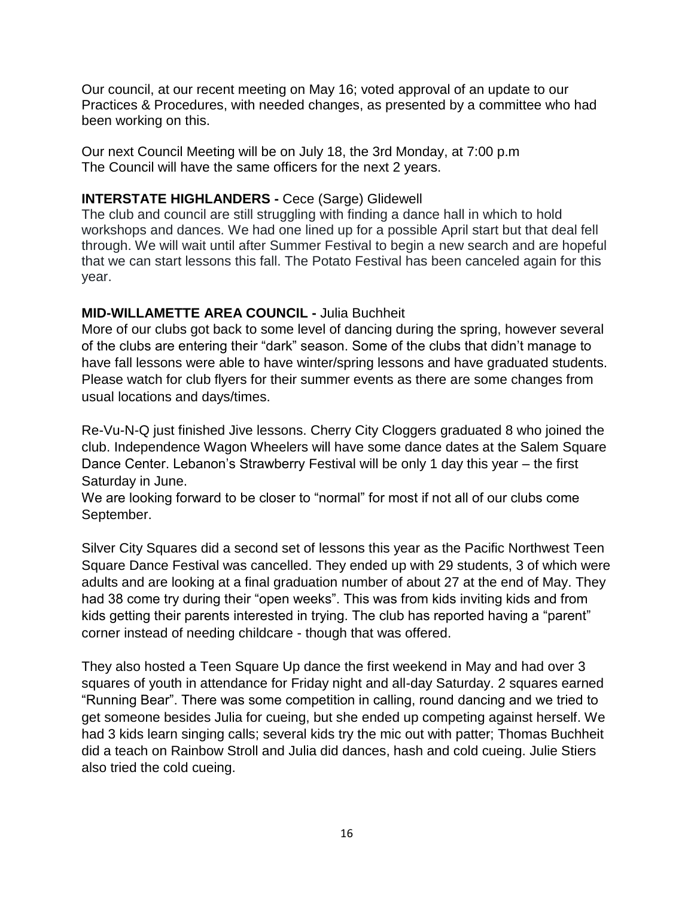Our council, at our recent meeting on May 16; voted approval of an update to our Practices & Procedures, with needed changes, as presented by a committee who had been working on this.

Our next Council Meeting will be on July 18, the 3rd Monday, at 7:00 p.m The Council will have the same officers for the next 2 years.

## **INTERSTATE HIGHLANDERS -** Cece (Sarge) Glidewell

The club and council are still struggling with finding a dance hall in which to hold workshops and dances. We had one lined up for a possible April start but that deal fell through. We will wait until after Summer Festival to begin a new search and are hopeful that we can start lessons this fall. The Potato Festival has been canceled again for this year.

## **MID-WILLAMETTE AREA COUNCIL -** Julia Buchheit

More of our clubs got back to some level of dancing during the spring, however several of the clubs are entering their "dark" season. Some of the clubs that didn't manage to have fall lessons were able to have winter/spring lessons and have graduated students. Please watch for club flyers for their summer events as there are some changes from usual locations and days/times.

Re-Vu-N-Q just finished Jive lessons. Cherry City Cloggers graduated 8 who joined the club. Independence Wagon Wheelers will have some dance dates at the Salem Square Dance Center. Lebanon's Strawberry Festival will be only 1 day this year – the first Saturday in June.

We are looking forward to be closer to "normal" for most if not all of our clubs come September.

Silver City Squares did a second set of lessons this year as the Pacific Northwest Teen Square Dance Festival was cancelled. They ended up with 29 students, 3 of which were adults and are looking at a final graduation number of about 27 at the end of May. They had 38 come try during their "open weeks". This was from kids inviting kids and from kids getting their parents interested in trying. The club has reported having a "parent" corner instead of needing childcare - though that was offered.

They also hosted a Teen Square Up dance the first weekend in May and had over 3 squares of youth in attendance for Friday night and all-day Saturday. 2 squares earned "Running Bear". There was some competition in calling, round dancing and we tried to get someone besides Julia for cueing, but she ended up competing against herself. We had 3 kids learn singing calls; several kids try the mic out with patter; Thomas Buchheit did a teach on Rainbow Stroll and Julia did dances, hash and cold cueing. Julie Stiers also tried the cold cueing.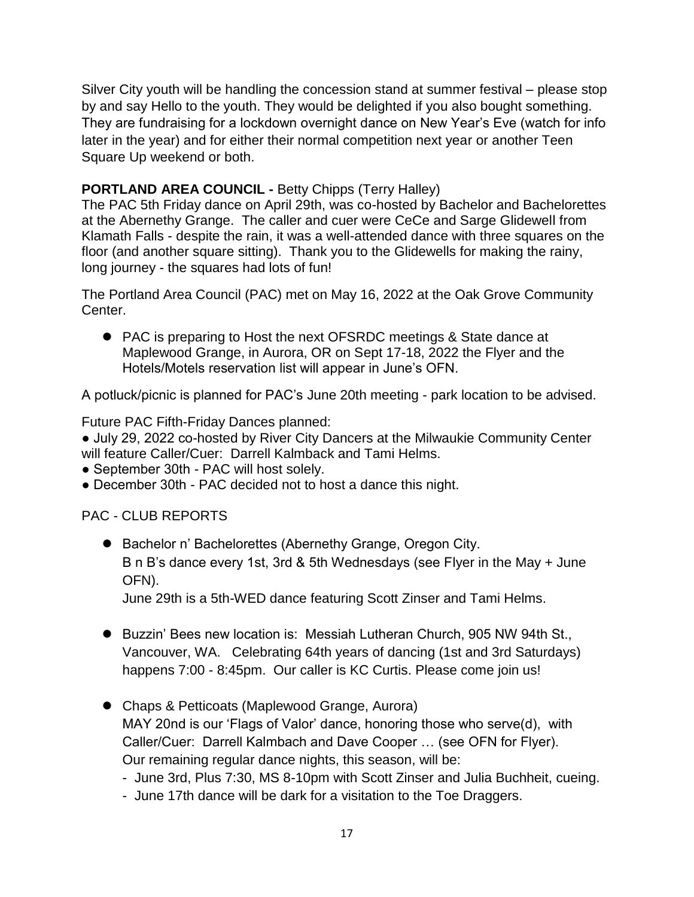Silver City youth will be handling the concession stand at summer festival – please stop by and say Hello to the youth. They would be delighted if you also bought something. They are fundraising for a lockdown overnight dance on New Year's Eve (watch for info later in the year) and for either their normal competition next year or another Teen Square Up weekend or both.

# **PORTLAND AREA COUNCIL -** Betty Chipps (Terry Halley)

The PAC 5th Friday dance on April 29th, was co-hosted by Bachelor and Bachelorettes at the Abernethy Grange. The caller and cuer were CeCe and Sarge Glidewell from Klamath Falls - despite the rain, it was a well-attended dance with three squares on the floor (and another square sitting). Thank you to the Glidewells for making the rainy, long journey - the squares had lots of fun!

The Portland Area Council (PAC) met on May 16, 2022 at the Oak Grove Community Center.

 PAC is preparing to Host the next OFSRDC meetings & State dance at Maplewood Grange, in Aurora, OR on Sept 17-18, 2022 the Flyer and the Hotels/Motels reservation list will appear in June's OFN.

A potluck/picnic is planned for PAC's June 20th meeting - park location to be advised.

Future PAC Fifth-Friday Dances planned:

● July 29, 2022 co-hosted by River City Dancers at the Milwaukie Community Center will feature Caller/Cuer: Darrell Kalmback and Tami Helms.

- September 30th PAC will host solely.
- December 30th PAC decided not to host a dance this night.

PAC - CLUB REPORTS

 Bachelor n' Bachelorettes (Abernethy Grange, Oregon City. B n B's dance every 1st, 3rd & 5th Wednesdays (see Flyer in the May + June OFN).

June 29th is a 5th-WED dance featuring Scott Zinser and Tami Helms.

- Buzzin' Bees new location is: Messiah Lutheran Church, 905 NW 94th St., Vancouver, WA. Celebrating 64th years of dancing (1st and 3rd Saturdays) happens 7:00 - 8:45pm. Our caller is KC Curtis. Please come join us!
- Chaps & Petticoats (Maplewood Grange, Aurora) MAY 20nd is our 'Flags of Valor' dance, honoring those who serve(d), with Caller/Cuer: Darrell Kalmbach and Dave Cooper … (see OFN for Flyer). Our remaining regular dance nights, this season, will be:
	- June 3rd, Plus 7:30, MS 8-10pm with Scott Zinser and Julia Buchheit, cueing.
	- June 17th dance will be dark for a visitation to the Toe Draggers.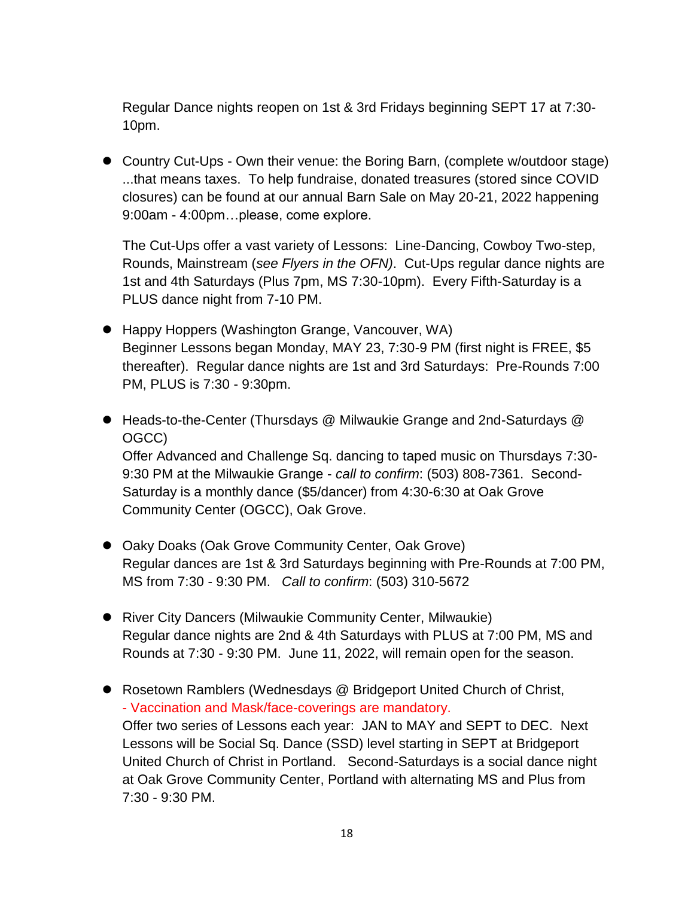Regular Dance nights reopen on 1st & 3rd Fridays beginning SEPT 17 at 7:30- 10pm.

 Country Cut-Ups - Own their venue: the Boring Barn, (complete w/outdoor stage) ...that means taxes. To help fundraise, donated treasures (stored since COVID closures) can be found at our annual Barn Sale on May 20-21, 2022 happening 9:00am - 4:00pm…please, come explore.

The Cut-Ups offer a vast variety of Lessons: Line-Dancing, Cowboy Two-step, Rounds, Mainstream (*see Flyers in the OFN)*. Cut-Ups regular dance nights are 1st and 4th Saturdays (Plus 7pm, MS 7:30-10pm). Every Fifth-Saturday is a PLUS dance night from 7-10 PM.

- Happy Hoppers (Washington Grange, Vancouver, WA) Beginner Lessons began Monday, MAY 23, 7:30-9 PM (first night is FREE, \$5 thereafter). Regular dance nights are 1st and 3rd Saturdays: Pre-Rounds 7:00 PM, PLUS is 7:30 - 9:30pm.
- Heads-to-the-Center (Thursdays @ Milwaukie Grange and 2nd-Saturdays @ OGCC) Offer Advanced and Challenge Sq. dancing to taped music on Thursdays 7:30-

9:30 PM at the Milwaukie Grange - *call to confirm*: (503) 808-7361. Second-Saturday is a monthly dance (\$5/dancer) from 4:30-6:30 at Oak Grove Community Center (OGCC), Oak Grove.

- Oaky Doaks (Oak Grove Community Center, Oak Grove) Regular dances are 1st & 3rd Saturdays beginning with Pre-Rounds at 7:00 PM, MS from 7:30 - 9:30 PM. *Call to confirm*: (503) 310-5672
- River City Dancers (Milwaukie Community Center, Milwaukie) Regular dance nights are 2nd & 4th Saturdays with PLUS at 7:00 PM, MS and Rounds at 7:30 - 9:30 PM. June 11, 2022, will remain open for the season.
- Rosetown Ramblers (Wednesdays @ Bridgeport United Church of Christ, - Vaccination and Mask/face-coverings are mandatory. Offer two series of Lessons each year: JAN to MAY and SEPT to DEC. Next Lessons will be Social Sq. Dance (SSD) level starting in SEPT at Bridgeport United Church of Christ in Portland. Second-Saturdays is a social dance night at Oak Grove Community Center, Portland with alternating MS and Plus from 7:30 - 9:30 PM.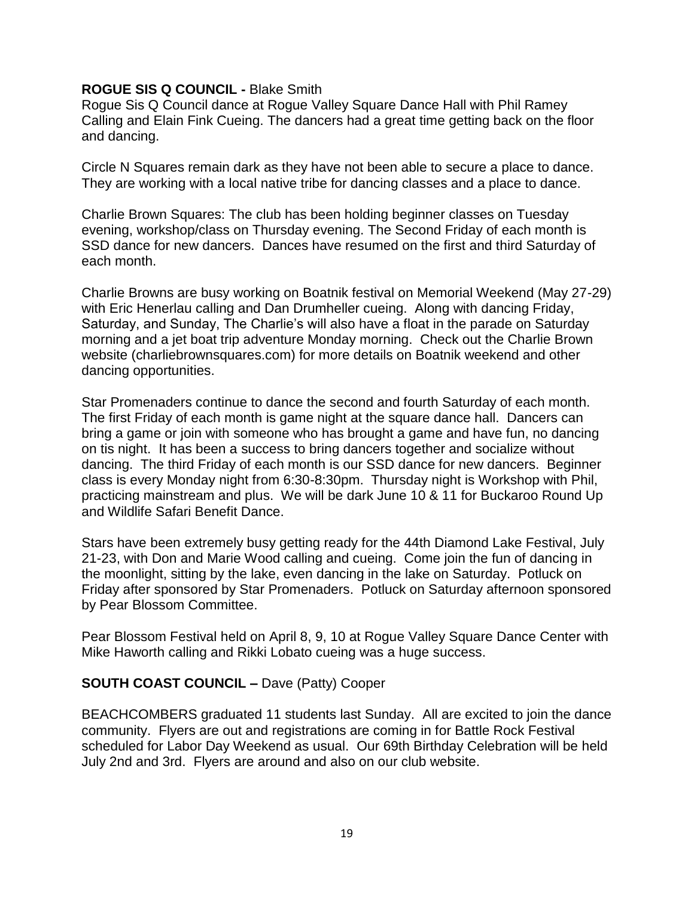### **ROGUE SIS Q COUNCIL -** Blake Smith

Rogue Sis Q Council dance at Rogue Valley Square Dance Hall with Phil Ramey Calling and Elain Fink Cueing. The dancers had a great time getting back on the floor and dancing.

Circle N Squares remain dark as they have not been able to secure a place to dance. They are working with a local native tribe for dancing classes and a place to dance.

Charlie Brown Squares: The club has been holding beginner classes on Tuesday evening, workshop/class on Thursday evening. The Second Friday of each month is SSD dance for new dancers. Dances have resumed on the first and third Saturday of each month.

Charlie Browns are busy working on Boatnik festival on Memorial Weekend (May 27-29) with Eric Henerlau calling and Dan Drumheller cueing. Along with dancing Friday, Saturday, and Sunday, The Charlie's will also have a float in the parade on Saturday morning and a jet boat trip adventure Monday morning. Check out the Charlie Brown website (charliebrownsquares.com) for more details on Boatnik weekend and other dancing opportunities.

Star Promenaders continue to dance the second and fourth Saturday of each month. The first Friday of each month is game night at the square dance hall. Dancers can bring a game or join with someone who has brought a game and have fun, no dancing on tis night. It has been a success to bring dancers together and socialize without dancing. The third Friday of each month is our SSD dance for new dancers. Beginner class is every Monday night from 6:30-8:30pm. Thursday night is Workshop with Phil, practicing mainstream and plus. We will be dark June 10 & 11 for Buckaroo Round Up and Wildlife Safari Benefit Dance.

Stars have been extremely busy getting ready for the 44th Diamond Lake Festival, July 21-23, with Don and Marie Wood calling and cueing. Come join the fun of dancing in the moonlight, sitting by the lake, even dancing in the lake on Saturday. Potluck on Friday after sponsored by Star Promenaders. Potluck on Saturday afternoon sponsored by Pear Blossom Committee.

Pear Blossom Festival held on April 8, 9, 10 at Rogue Valley Square Dance Center with Mike Haworth calling and Rikki Lobato cueing was a huge success.

## **SOUTH COAST COUNCIL –** Dave (Patty) Cooper

BEACHCOMBERS graduated 11 students last Sunday. All are excited to join the dance community. Flyers are out and registrations are coming in for Battle Rock Festival scheduled for Labor Day Weekend as usual. Our 69th Birthday Celebration will be held July 2nd and 3rd. Flyers are around and also on our club website.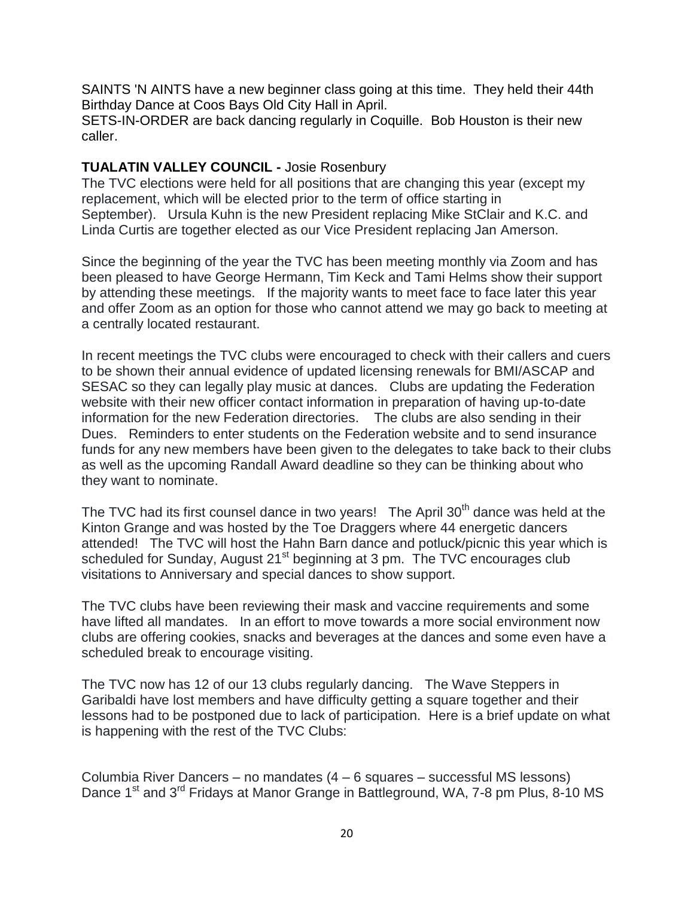SAINTS 'N AINTS have a new beginner class going at this time. They held their 44th Birthday Dance at Coos Bays Old City Hall in April.

SETS-IN-ORDER are back dancing regularly in Coquille. Bob Houston is their new caller.

## **TUALATIN VALLEY COUNCIL -** Josie Rosenbury

The TVC elections were held for all positions that are changing this year (except my replacement, which will be elected prior to the term of office starting in September). Ursula Kuhn is the new President replacing Mike StClair and K.C. and Linda Curtis are together elected as our Vice President replacing Jan Amerson.

Since the beginning of the year the TVC has been meeting monthly via Zoom and has been pleased to have George Hermann, Tim Keck and Tami Helms show their support by attending these meetings. If the majority wants to meet face to face later this year and offer Zoom as an option for those who cannot attend we may go back to meeting at a centrally located restaurant.

In recent meetings the TVC clubs were encouraged to check with their callers and cuers to be shown their annual evidence of updated licensing renewals for BMI/ASCAP and SESAC so they can legally play music at dances. Clubs are updating the Federation website with their new officer contact information in preparation of having up-to-date information for the new Federation directories. The clubs are also sending in their Dues. Reminders to enter students on the Federation website and to send insurance funds for any new members have been given to the delegates to take back to their clubs as well as the upcoming Randall Award deadline so they can be thinking about who they want to nominate.

The TVC had its first counsel dance in two years! The April  $30<sup>th</sup>$  dance was held at the Kinton Grange and was hosted by the Toe Draggers where 44 energetic dancers attended! The TVC will host the Hahn Barn dance and potluck/picnic this year which is scheduled for Sunday, August 21<sup>st</sup> beginning at 3 pm. The TVC encourages club visitations to Anniversary and special dances to show support.

The TVC clubs have been reviewing their mask and vaccine requirements and some have lifted all mandates. In an effort to move towards a more social environment now clubs are offering cookies, snacks and beverages at the dances and some even have a scheduled break to encourage visiting.

The TVC now has 12 of our 13 clubs regularly dancing. The Wave Steppers in Garibaldi have lost members and have difficulty getting a square together and their lessons had to be postponed due to lack of participation. Here is a brief update on what is happening with the rest of the TVC Clubs:

Columbia River Dancers – no mandates (4 – 6 squares – successful MS lessons) Dance 1<sup>st</sup> and 3<sup>rd</sup> Fridays at Manor Grange in Battleground, WA, 7-8 pm Plus, 8-10 MS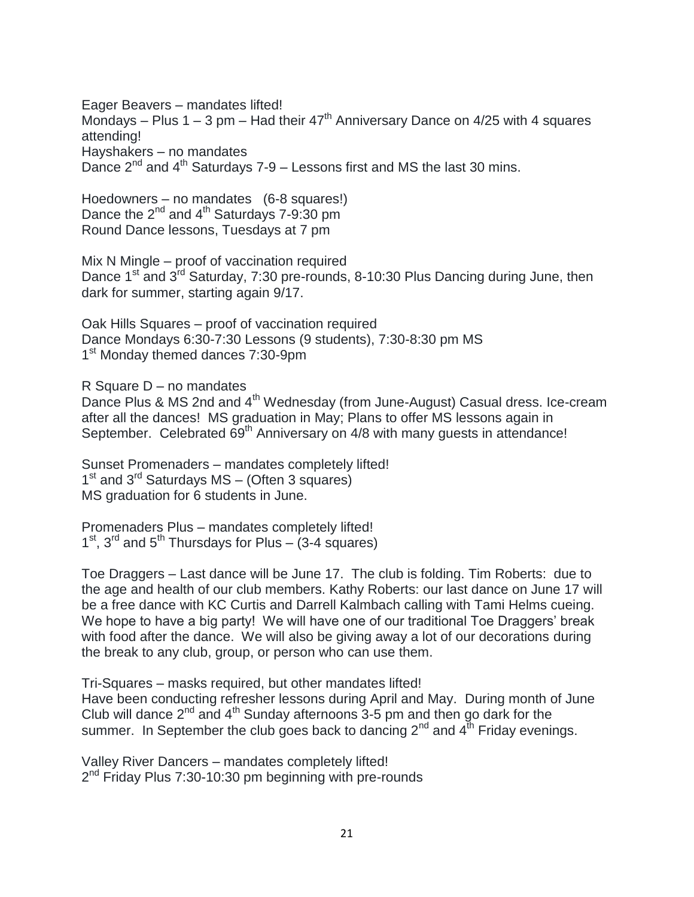Eager Beavers – mandates lifted! Mondays – Plus  $1 - 3$  pm – Had their  $47<sup>th</sup>$  Anniversary Dance on  $4/25$  with 4 squares attending! Hayshakers – no mandates Dance  $2^{nd}$  and  $4^{th}$  Saturdays 7-9 – Lessons first and MS the last 30 mins.

Hoedowners – no mandates (6-8 squares!) Dance the  $2^{nd}$  and  $4^{th}$  Saturdays 7-9:30 pm Round Dance lessons, Tuesdays at 7 pm

Mix N Mingle – proof of vaccination required Dance 1<sup>st</sup> and 3<sup>rd</sup> Saturday, 7:30 pre-rounds, 8-10:30 Plus Dancing during June, then dark for summer, starting again 9/17.

Oak Hills Squares – proof of vaccination required Dance Mondays 6:30-7:30 Lessons (9 students), 7:30-8:30 pm MS 1<sup>st</sup> Monday themed dances 7:30-9pm

R Square D – no mandates

Dance Plus & MS 2nd and 4<sup>th</sup> Wednesday (from June-August) Casual dress. Ice-cream after all the dances! MS graduation in May; Plans to offer MS lessons again in September. Celebrated 69<sup>th</sup> Anniversary on 4/8 with many quests in attendance!

Sunset Promenaders – mandates completely lifted! 1<sup>st</sup> and 3<sup>rd</sup> Saturdays MS - (Often 3 squares) MS graduation for 6 students in June.

Promenaders Plus – mandates completely lifted!  $1<sup>st</sup>$ ,  $3<sup>rd</sup>$  and  $5<sup>th</sup>$  Thursdays for Plus – (3-4 squares)

Toe Draggers – Last dance will be June 17. The club is folding. Tim Roberts: due to the age and health of our club members. Kathy Roberts: our last dance on June 17 will be a free dance with KC Curtis and Darrell Kalmbach calling with Tami Helms cueing. We hope to have a big party! We will have one of our traditional Toe Draggers' break with food after the dance. We will also be giving away a lot of our decorations during the break to any club, group, or person who can use them.

Tri-Squares – masks required, but other mandates lifted! Have been conducting refresher lessons during April and May. During month of June Club will dance  $2^{nd}$  and  $4^{th}$  Sunday afternoons 3-5 pm and then go dark for the summer. In September the club goes back to dancing  $2^{nd}$  and  $4^{th}$  Friday evenings.

Valley River Dancers – mandates completely lifted! 2<sup>nd</sup> Friday Plus 7:30-10:30 pm beginning with pre-rounds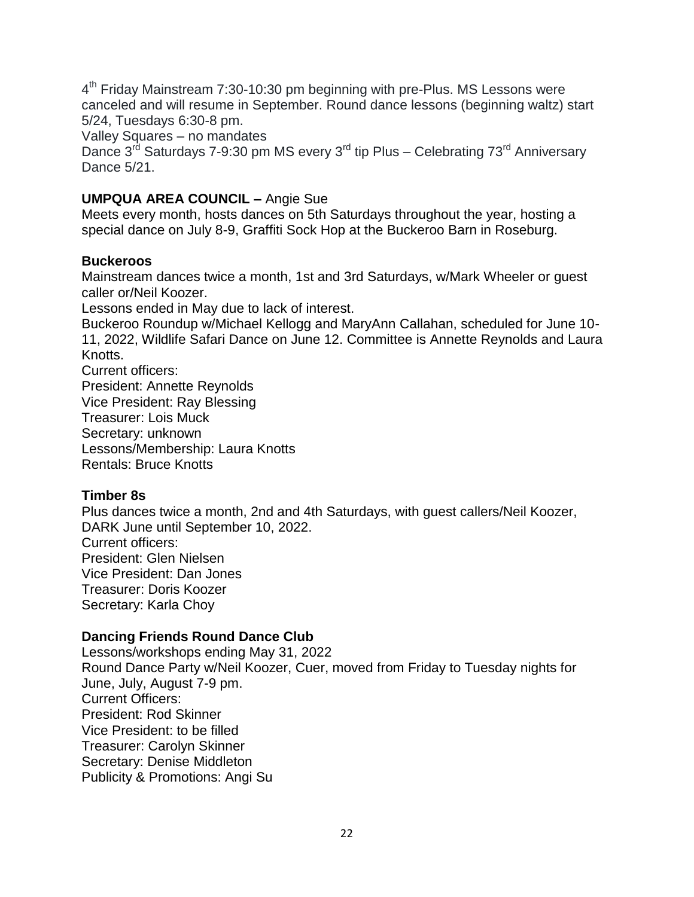4<sup>th</sup> Friday Mainstream 7:30-10:30 pm beginning with pre-Plus. MS Lessons were canceled and will resume in September. Round dance lessons (beginning waltz) start 5/24, Tuesdays 6:30-8 pm.

Valley Squares – no mandates

Dance  $3^{rd}$  Saturdays 7-9:30 pm MS every  $3^{rd}$  tip Plus – Celebrating  $73^{rd}$  Anniversary Dance 5/21.

# **UMPQUA AREA COUNCIL –** Angie Sue

Meets every month, hosts dances on 5th Saturdays throughout the year, hosting a special dance on July 8-9, Graffiti Sock Hop at the Buckeroo Barn in Roseburg.

## **Buckeroos**

Mainstream dances twice a month, 1st and 3rd Saturdays, w/Mark Wheeler or guest caller or/Neil Koozer.

Lessons ended in May due to lack of interest.

Buckeroo Roundup w/Michael Kellogg and MaryAnn Callahan, scheduled for June 10- 11, 2022, Wildlife Safari Dance on June 12. Committee is Annette Reynolds and Laura Knotts.

Current officers: President: Annette Reynolds Vice President: Ray Blessing Treasurer: Lois Muck Secretary: unknown Lessons/Membership: Laura Knotts Rentals: Bruce Knotts

# **Timber 8s**

Plus dances twice a month, 2nd and 4th Saturdays, with guest callers/Neil Koozer, DARK June until September 10, 2022. Current officers: President: Glen Nielsen Vice President: Dan Jones Treasurer: Doris Koozer Secretary: Karla Choy

# **Dancing Friends Round Dance Club**

Lessons/workshops ending May 31, 2022 Round Dance Party w/Neil Koozer, Cuer, moved from Friday to Tuesday nights for June, July, August 7-9 pm. Current Officers: President: Rod Skinner Vice President: to be filled Treasurer: Carolyn Skinner Secretary: Denise Middleton Publicity & Promotions: Angi Su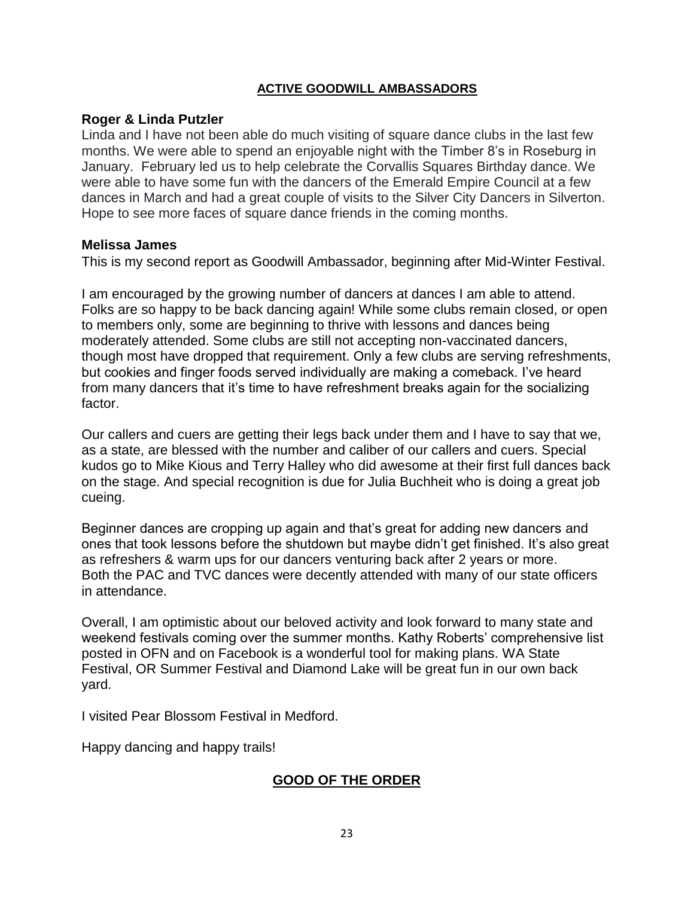## **ACTIVE GOODWILL AMBASSADORS**

### **Roger & Linda Putzler**

Linda and I have not been able do much visiting of square dance clubs in the last few months. We were able to spend an enjoyable night with the Timber 8's in Roseburg in January. February led us to help celebrate the Corvallis Squares Birthday dance. We were able to have some fun with the dancers of the Emerald Empire Council at a few dances in March and had a great couple of visits to the Silver City Dancers in Silverton. Hope to see more faces of square dance friends in the coming months.

### **Melissa James**

This is my second report as Goodwill Ambassador, beginning after Mid-Winter Festival.

I am encouraged by the growing number of dancers at dances I am able to attend. Folks are so happy to be back dancing again! While some clubs remain closed, or open to members only, some are beginning to thrive with lessons and dances being moderately attended. Some clubs are still not accepting non-vaccinated dancers, though most have dropped that requirement. Only a few clubs are serving refreshments, but cookies and finger foods served individually are making a comeback. I've heard from many dancers that it's time to have refreshment breaks again for the socializing factor.

Our callers and cuers are getting their legs back under them and I have to say that we, as a state, are blessed with the number and caliber of our callers and cuers. Special kudos go to Mike Kious and Terry Halley who did awesome at their first full dances back on the stage. And special recognition is due for Julia Buchheit who is doing a great job cueing.

Beginner dances are cropping up again and that's great for adding new dancers and ones that took lessons before the shutdown but maybe didn't get finished. It's also great as refreshers & warm ups for our dancers venturing back after 2 years or more. Both the PAC and TVC dances were decently attended with many of our state officers in attendance.

Overall, I am optimistic about our beloved activity and look forward to many state and weekend festivals coming over the summer months. Kathy Roberts' comprehensive list posted in OFN and on Facebook is a wonderful tool for making plans. WA State Festival, OR Summer Festival and Diamond Lake will be great fun in our own back yard.

I visited Pear Blossom Festival in Medford.

Happy dancing and happy trails!

# **GOOD OF THE ORDER**